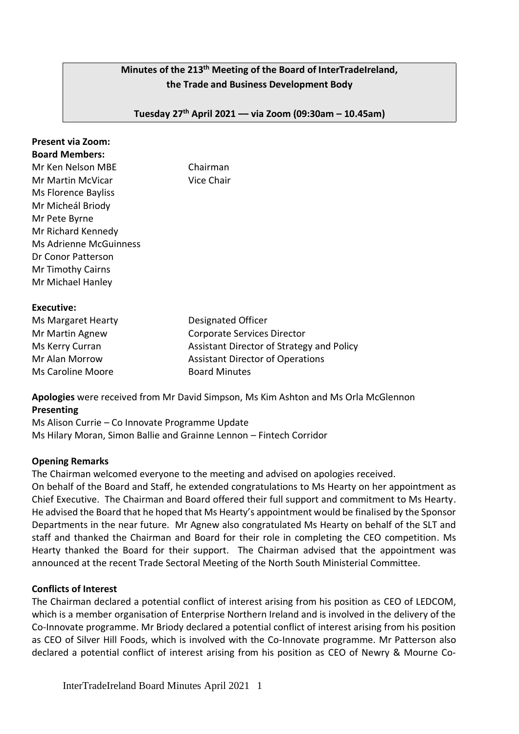# **Minutes of the 213 th Meeting of the Board of InterTradeIreland, the Trade and Business Development Body**

**Tuesday 27th April 2021 –– via Zoom (09:30am – 10.45am)**

#### **Present via Zoom: Board Members:**

Mr Ken Nelson MBE Chairman Mr Martin McVicar **Vice Chair** Ms Florence Bayliss Mr Micheál Briody Mr Pete Byrne Mr Richard Kennedy Ms Adrienne McGuinness Dr Conor Patterson Mr Timothy Cairns Mr Michael Hanley

#### **Executive:**

| Ms Margaret Hearty       | Designated Officer                        |
|--------------------------|-------------------------------------------|
| Mr Martin Agnew          | Corporate Services Director               |
| Ms Kerry Curran          | Assistant Director of Strategy and Policy |
| Mr Alan Morrow           | <b>Assistant Director of Operations</b>   |
| <b>Ms Caroline Moore</b> | <b>Board Minutes</b>                      |

**Apologies** were received from Mr David Simpson, Ms Kim Ashton and Ms Orla McGlennon **Presenting** 

Ms Alison Currie – Co Innovate Programme Update Ms Hilary Moran, Simon Ballie and Grainne Lennon – Fintech Corridor

#### **Opening Remarks**

The Chairman welcomed everyone to the meeting and advised on apologies received.

On behalf of the Board and Staff, he extended congratulations to Ms Hearty on her appointment as Chief Executive. The Chairman and Board offered their full support and commitment to Ms Hearty. He advised the Board that he hoped that Ms Hearty's appointment would be finalised by the Sponsor Departments in the near future. Mr Agnew also congratulated Ms Hearty on behalf of the SLT and staff and thanked the Chairman and Board for their role in completing the CEO competition. Ms Hearty thanked the Board for their support. The Chairman advised that the appointment was announced at the recent Trade Sectoral Meeting of the North South Ministerial Committee.

## **Conflicts of Interest**

The Chairman declared a potential conflict of interest arising from his position as CEO of LEDCOM, which is a member organisation of Enterprise Northern Ireland and is involved in the delivery of the Co-Innovate programme. Mr Briody declared a potential conflict of interest arising from his position as CEO of Silver Hill Foods, which is involved with the Co-Innovate programme. Mr Patterson also declared a potential conflict of interest arising from his position as CEO of Newry & Mourne Co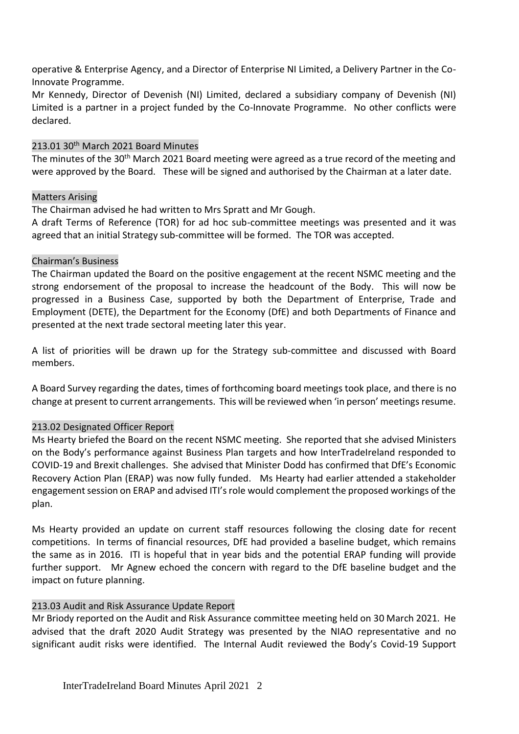operative & Enterprise Agency, and a Director of Enterprise NI Limited, a Delivery Partner in the Co-Innovate Programme.

Mr Kennedy, Director of Devenish (NI) Limited, declared a subsidiary company of Devenish (NI) Limited is a partner in a project funded by the Co-Innovate Programme. No other conflicts were declared.

#### 213.01 30<sup>th</sup> March 2021 Board Minutes

The minutes of the 30<sup>th</sup> March 2021 Board meeting were agreed as a true record of the meeting and were approved by the Board. These will be signed and authorised by the Chairman at a later date.

#### Matters Arising

The Chairman advised he had written to Mrs Spratt and Mr Gough.

A draft Terms of Reference (TOR) for ad hoc sub-committee meetings was presented and it was agreed that an initial Strategy sub-committee will be formed. The TOR was accepted.

#### Chairman's Business

The Chairman updated the Board on the positive engagement at the recent NSMC meeting and the strong endorsement of the proposal to increase the headcount of the Body. This will now be progressed in a Business Case, supported by both the Department of Enterprise, Trade and Employment (DETE), the Department for the Economy (DfE) and both Departments of Finance and presented at the next trade sectoral meeting later this year.

A list of priorities will be drawn up for the Strategy sub-committee and discussed with Board members.

A Board Survey regarding the dates, times of forthcoming board meetings took place, and there is no change at present to current arrangements. This will be reviewed when 'in person' meetings resume.

## 213.02 Designated Officer Report

Ms Hearty briefed the Board on the recent NSMC meeting. She reported that she advised Ministers on the Body's performance against Business Plan targets and how InterTradeIreland responded to COVID-19 and Brexit challenges. She advised that Minister Dodd has confirmed that DfE's Economic Recovery Action Plan (ERAP) was now fully funded. Ms Hearty had earlier attended a stakeholder engagement session on ERAP and advised ITI's role would complement the proposed workings of the plan.

Ms Hearty provided an update on current staff resources following the closing date for recent competitions. In terms of financial resources, DfE had provided a baseline budget, which remains the same as in 2016. ITI is hopeful that in year bids and the potential ERAP funding will provide further support. Mr Agnew echoed the concern with regard to the DfE baseline budget and the impact on future planning.

## 213.03 Audit and Risk Assurance Update Report

Mr Briody reported on the Audit and Risk Assurance committee meeting held on 30 March 2021. He advised that the draft 2020 Audit Strategy was presented by the NIAO representative and no significant audit risks were identified. The Internal Audit reviewed the Body's Covid-19 Support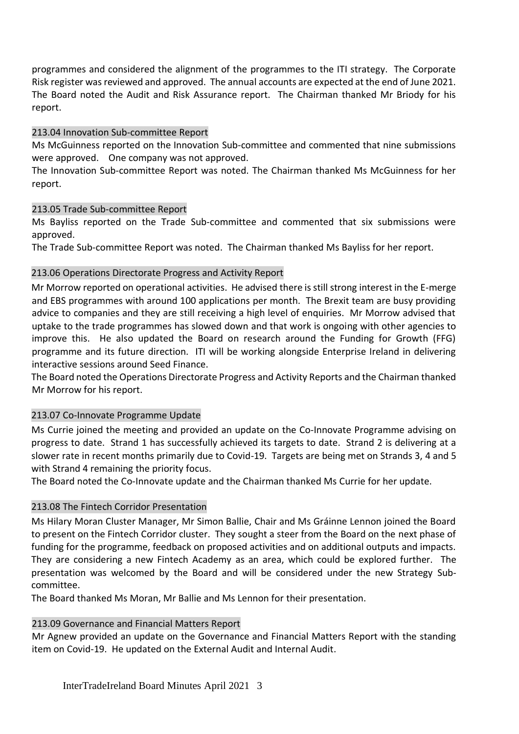programmes and considered the alignment of the programmes to the ITI strategy. The Corporate Risk register was reviewed and approved. The annual accounts are expected at the end of June 2021. The Board noted the Audit and Risk Assurance report. The Chairman thanked Mr Briody for his report.

# 213.04 Innovation Sub-committee Report

Ms McGuinness reported on the Innovation Sub-committee and commented that nine submissions were approved. One company was not approved.

The Innovation Sub-committee Report was noted. The Chairman thanked Ms McGuinness for her report.

# 213.05 Trade Sub-committee Report

Ms Bayliss reported on the Trade Sub-committee and commented that six submissions were approved.

The Trade Sub-committee Report was noted. The Chairman thanked Ms Bayliss for her report.

# 213.06 Operations Directorate Progress and Activity Report

Mr Morrow reported on operational activities. He advised there is still strong interest in the E-merge and EBS programmes with around 100 applications per month. The Brexit team are busy providing advice to companies and they are still receiving a high level of enquiries. Mr Morrow advised that uptake to the trade programmes has slowed down and that work is ongoing with other agencies to improve this. He also updated the Board on research around the Funding for Growth (FFG) programme and its future direction. ITI will be working alongside Enterprise Ireland in delivering interactive sessions around Seed Finance.

The Board noted the Operations Directorate Progress and Activity Reports and the Chairman thanked Mr Morrow for his report.

## 213.07 Co-Innovate Programme Update

Ms Currie joined the meeting and provided an update on the Co-Innovate Programme advising on progress to date. Strand 1 has successfully achieved its targets to date. Strand 2 is delivering at a slower rate in recent months primarily due to Covid-19. Targets are being met on Strands 3, 4 and 5 with Strand 4 remaining the priority focus.

The Board noted the Co-Innovate update and the Chairman thanked Ms Currie for her update.

# 213.08 The Fintech Corridor Presentation

Ms Hilary Moran Cluster Manager, Mr Simon Ballie, Chair and Ms Gráinne Lennon joined the Board to present on the Fintech Corridor cluster. They sought a steer from the Board on the next phase of funding for the programme, feedback on proposed activities and on additional outputs and impacts. They are considering a new Fintech Academy as an area, which could be explored further. The presentation was welcomed by the Board and will be considered under the new Strategy Subcommittee.

The Board thanked Ms Moran, Mr Ballie and Ms Lennon for their presentation.

## 213.09 Governance and Financial Matters Report

Mr Agnew provided an update on the Governance and Financial Matters Report with the standing item on Covid-19. He updated on the External Audit and Internal Audit.